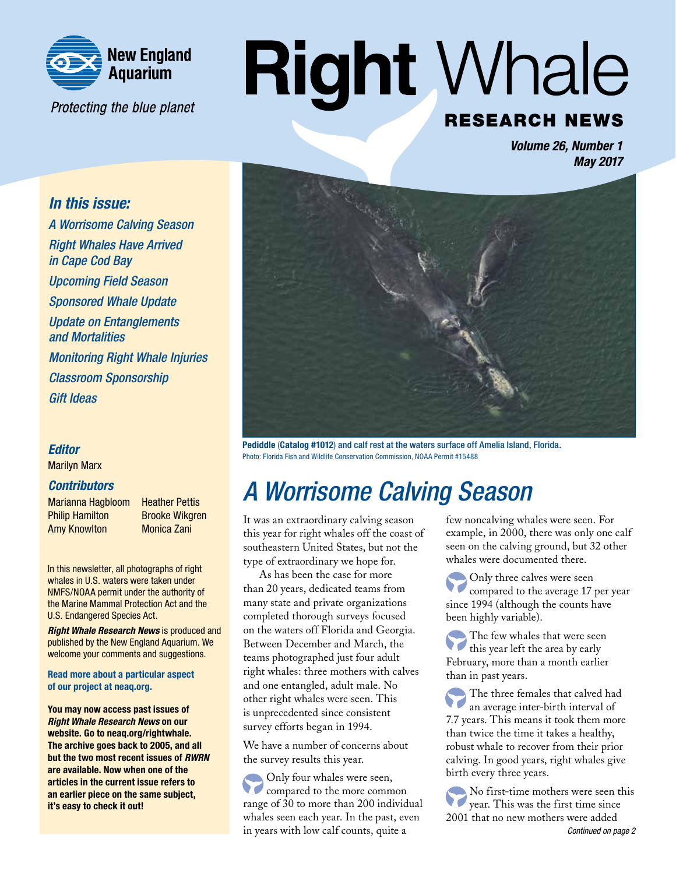

Protecting the blue planet

# **Right Whale RESEARCH NEWS**

*Volume 26, Number 1 May 2017*

### *In this issue:*

*A Worrisome Calving Season Right Whales Have Arrived in Cape Cod Bay Upcoming Field Season Sponsored Whale Update Update on Entanglements and Mortalities Monitoring Right Whale Injuries Classroom Sponsorship Gift Ideas*

### *Editor*

Marilyn Marx

#### *Contributors*

Marianna Hagbloom Heather Pettis **Philip Hamilton** Brooke Wikgren Amy Knowlton Monica Zani

In this newsletter, all photographs of right whales in U.S. waters were taken under NMFS/NOAA permit under the authority of the Marine Mammal Protection Act and the U.S. Endangered Species Act.

*Right Whale Research News* is produced and published by the New England Aquarium. We welcome your comments and suggestions.

Read more about a particular aspect of our project a[t neaq.org.](http://www.neaq.org)

You may now access past issues of *Right Whale Research News* on our website. Go to [neaq.org/rightwhale.](http://www.andersoncabotcenterforoceanlife.org/about-us/current-work/right-whale-research/right-whale-research-newsletters/)  The archive goes back to 2005, and all but the two most recent issues of *RWRN*  are available. Now when one of the articles in the current issue refers to an earlier piece on the same subject, it's easy to check it out!



Pediddle (Catalog #1012) and calf rest at the waters surface off Amelia Island, Florida. Photo: Florida Fish and Wildlife Conservation Commission, NOAA Permit #15488

# *A Worrisome Calving Season*

It was an extraordinary calving season this year for right whales off the coast of southeastern United States, but not the type of extraordinary we hope for.

As has been the case for more than 20 years, dedicated teams from many state and private organizations completed thorough surveys focused on the waters off Florida and Georgia. Between December and March, the teams photographed just four adult right whales: three mothers with calves and one entangled, adult male. No other right whales were seen. This is unprecedented since consistent survey efforts began in 1994.

We have a number of concerns about the survey results this year.

Only four whales were seen, compared to the more common range of 30 to more than 200 individual whales seen each year. In the past, even in years with low calf counts, quite a

few noncalving whales were seen. For example, in 2000, there was only one calf seen on the calving ground, but 32 other whales were documented there.

Only three calves were seen compared to the average 17 per year since 1994 (although the counts have been highly variable).

The few whales that were seen  $\overline{C}$ this year left the area by early February, more than a month earlier than in past years.

The three females that calved had an average inter-birth interval of 7.7 years. This means it took them more than twice the time it takes a healthy, robust whale to recover from their prior calving. In good years, right whales give birth every three years.

No first-time mothers were seen this year. This was the first time since 2001 that no new mothers were added *Continued on page 2*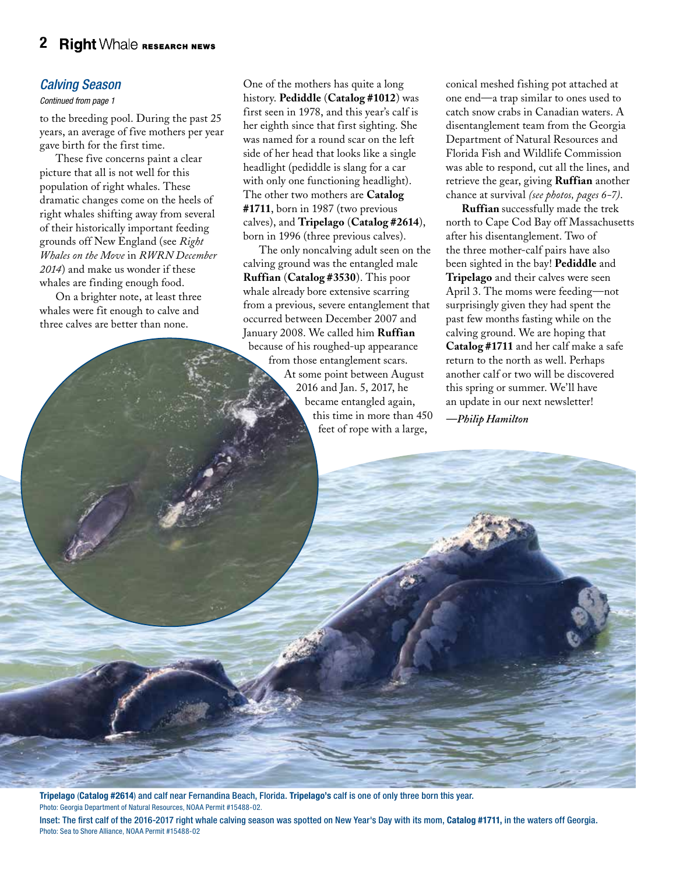### *Calving Season*

#### *Continued from page 1*

to the breeding pool. During the past 25 years, an average of five mothers per year gave birth for the first time.

These five concerns paint a clear picture that all is not well for this population of right whales. These dramatic changes come on the heels of right whales shifting away from several of their historically important feeding [grounds off New England \(see](http://www.andersoncabotcenterforoceanlife.org/about-us/current-work/right-whale-research/right-whale-research-newsletters/) *Right Whales on the Move* in *RWRN December 2014*) and make us wonder if these whales are finding enough food.

On a brighter note, at least three whales were fit enough to calve and three calves are better than none.

One of the mothers has quite a long history. **Pediddle** (**Catalog #1012**) was first seen in 1978, and this year's calf is her eighth since that first sighting. She was named for a round scar on the left side of her head that looks like a single headlight (pediddle is slang for a car with only one functioning headlight). The other two mothers are **Catalog #1711**, born in 1987 (two previous calves), and **Tripelago** (**Catalog #2614**), born in 1996 (three previous calves).

The only noncalving adult seen on the calving ground was the entangled male **Ruffian** (**Catalog #3530**). This poor whale already bore extensive scarring from a previous, severe entanglement that occurred between December 2007 and January 2008. We called him **Ruffian** because of his roughed-up appearance from those entanglement scars. At some point between August 2016 and Jan. 5, 2017, he became entangled again, this time in more than 450 feet of rope with a large,

conical meshed fishing pot attached at one end—a trap similar to ones used to catch snow crabs in Canadian waters. A disentanglement team from the Georgia Department of Natural Resources and Florida Fish and Wildlife Commission was able to respond, cut all the lines, and retrieve the gear, giving **Ruffian** another chance at survival *(see photos, pages 6-7)*.

**Ruffian** successfully made the trek north to Cape Cod Bay off Massachusetts after his disentanglement. Two of the three mother-calf pairs have also been sighted in the bay! **Pediddle** and **Tripelago** and their calves were seen April 3. The moms were feeding—not surprisingly given they had spent the past few months fasting while on the calving ground. We are hoping that **Catalog #1711** and her calf make a safe return to the north as well. Perhaps another calf or two will be discovered this spring or summer. We'll have an update in our next newsletter!

*—Philip Hamilton*

Tripelago (Catalog #2614) and calf near Fernandina Beach, Florida. Tripelago's calf is one of only three born this year. Photo: Georgia Department of Natural Resources, NOAA Permit #15488-02.

Inset: The first calf of the 2016-2017 right whale calving season was spotted on New Year's Day with its mom, Catalog #1711, in the waters off Georgia. Photo: Sea to Shore Alliance, NOAA Permit #15488-02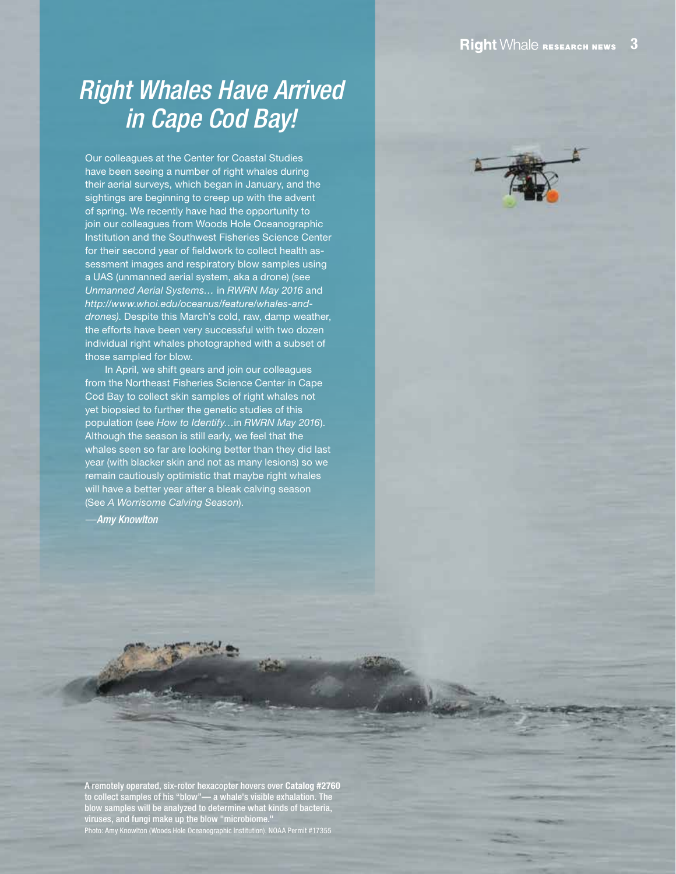## *Right Whales Have Arrived in Cape Cod Bay!*

Our colleagues at the Center for Coastal Studies have been seeing a number of right whales during their aerial surveys, which began in January, and the sightings are beginning to creep up with the advent of spring. We recently have had the opportunity to join our colleagues fro[m Woods Hole Oceanographic](http://www.whoi.edu)  Institution and th[e Southwest Fisheries Science Center](https://swfsc.noaa.gov)  for their second year of fieldwork to collect health assessment images and respiratory blow samples using a UAS (unmanned aerial system, aka a drone) (see *[Unmanned Aerial Systems…](http://www.andersoncabotcenterforoceanlife.org/about-us/current-work/right-whale-research/right-whale-research-newsletters/)* in *RWRN May 2016* and *[http://www.whoi.edu/oceanus/feature/whales-and](http://www.whoi.edu/oceanus/feature/whales-and-drones)drones)*. Despite this March's cold, raw, damp weather, the efforts have been very successful with two dozen individual right whales photographed with a subset of those sampled for blow.

In April, we shift gears and join our colleagues from the Northeast Fisheries Science Center in Cape Cod Bay to collect skin samples of right whales not yet biopsied to further the genetic studies of this population (see *[How to Identify…](http://www.andersoncabotcenterforoceanlife.org/about-us/current-work/right-whale-research/right-whale-research-newsletters/)*in *RWRN May 2016*). Although the season is still early, we feel that the whales seen so far are looking better than they did last year (with blacker skin and not as many lesions) so we remain cautiously optimistic that maybe right whales will have a better year after a bleak calving season (See *A Worrisome Calving Season*).

*—Amy Knowlton*

A remotely operated, six-rotor hexacopter hovers over Catalog #2760 to collect samples of his "blow"— a whale's visible exhalation. The blow samples will be analyzed to determine what kinds of bacteria, viruses, and fungi make up the blow "microbiome."

Photo: Amy Knowlton (Woods Hole Oceanographic Institution), NOAA Permit #17355

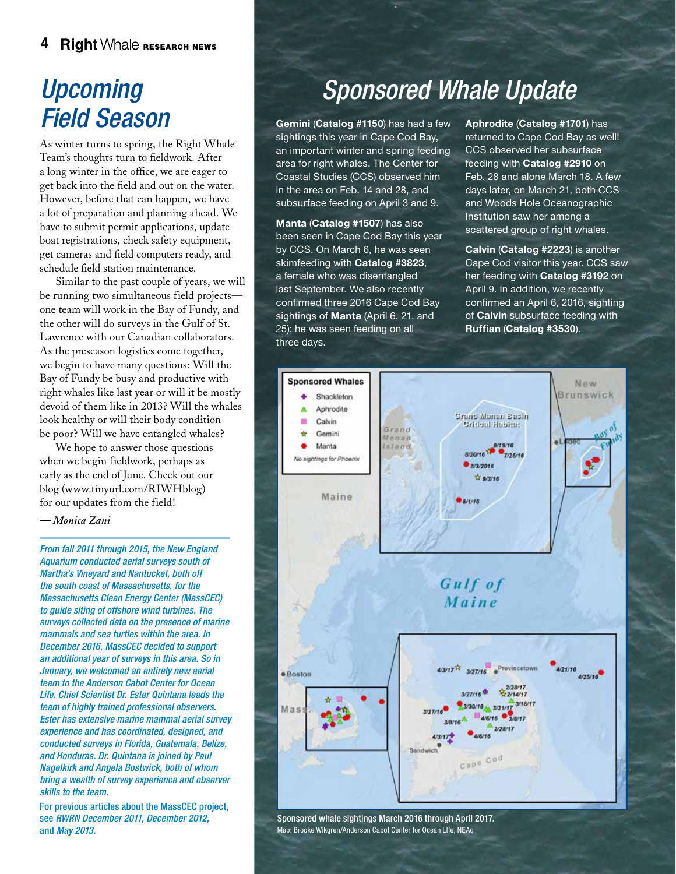#### **Right Whale RESEARCH NEWS** 4

### *Upcoming Field Season*

As winter turns to spring, the Right Whale Team's thoughts turn to fieldwork. After a long winter in the office, we are eager to get back into the field and out on the water. However, before that can happen, we have a lot of preparation and planning ahead. We have to submit permit applications, update boat registrations, check safety equipment, get cameras and field computers ready, and schedule field station maintenance.

Similar to the past couple of years, we will be running two simultaneous field projects one team will work in the Bay of Fundy, and the other will do surveys in the Gulf of St. Lawrence with our Canadian collaborators. As the preseason logistics come together, we begin to have many questions: Will the Bay of Fundy be busy and productive with right whales like last year or will it be mostly devoid of them like in 2013? Will the whales look healthy or will their body condition be poor? Will we have entangled whales?

We hope to answer those questions when we begin fieldwork, perhaps as early as the end of June. Check out our blo[g \(www.tinyurl.com/RIWHblog\)](http://www.andersoncabotcenterforoceanlife.org/category/right-whale-research/)  for our updates from the field!

*— Monica Zani* 

*From fall 2011 through 2015, the New England Aquarium conducted aerial surveys south of Martha's Vineyard and Nantucket, both off the south coast of Massachusetts, for the [Massachusetts Clean Energy Center \(MassCEC\)](http://www.masscec.com)  to guide siting of offshore wind turbines. The surveys collected data on the presence of marine mammals and sea turtles within the area. In December 2016, MassCEC decided to support an additional year of surveys in this area. So in January, we welcomed an entirely new aerial team to the Anderson Cabot Center for Ocean Life. Chief Scientist Dr. Ester Quintana leads the team of highly trained professional observers. Ester has extensive marine mammal aerial survey experience and has coordinated, designed, and conducted surveys in Florida, Guatemala, Belize, and Honduras. Dr. Quintana is joined by Paul Nagelkirk and Angela Bostwick, both of whom bring a wealth of survey experience and observer skills to the team.*

For previous articles about the MassCEC project, see *[RWRN December 2011, December 2012,](http://www.andersoncabotcenterforoceanlife.org/about-us/current-work/right-whale-research/right-whale-research-newsletters/)*  and *May 2013.*

# *Sponsored Whale Update*

Gemini (Catalog #1150) has had a few sightings this year in Cape Cod Bay, an important winter and spring feeding area for right whales. The Center for Coastal Studies (CCS) observed him in the area on Feb. 14 and 28, and subsurface feeding on April 3 and 9.

Manta (Catalog #1507) has also been seen in Cape Cod Bay this year by CCS. On March 6, he was seen skimfeeding with Catalog #3823, a female who was disentangled last September. We also recently confirmed three 2016 Cape Cod Bay sightings of Manta (April 6, 21, and 25); he was seen feeding on all three days.

Aphrodite (Catalog #1701) has returned to Cape Cod Bay as well! CCS observed her subsurface feeding with Catalog #2910 on Feb. 28 and alone March 18. A few days later, on March 21, both CCS and Woods Hole Oceanographic Institution saw her among a scattered group of right whales.

Calvin (Catalog #2223) is another Cape Cod visitor this year. CCS saw her feeding with Catalog #3192 on April 9. In addition, we recently confirmed an April 6, 2016, sighting of Calvin subsurface feeding with Ruffian (Catalog #3530).



Sponsored whale sightings March 2016 through April 2017. Map: Brooke Wikgren/Anderson Cabot Center for Ocean LIfe, NEAq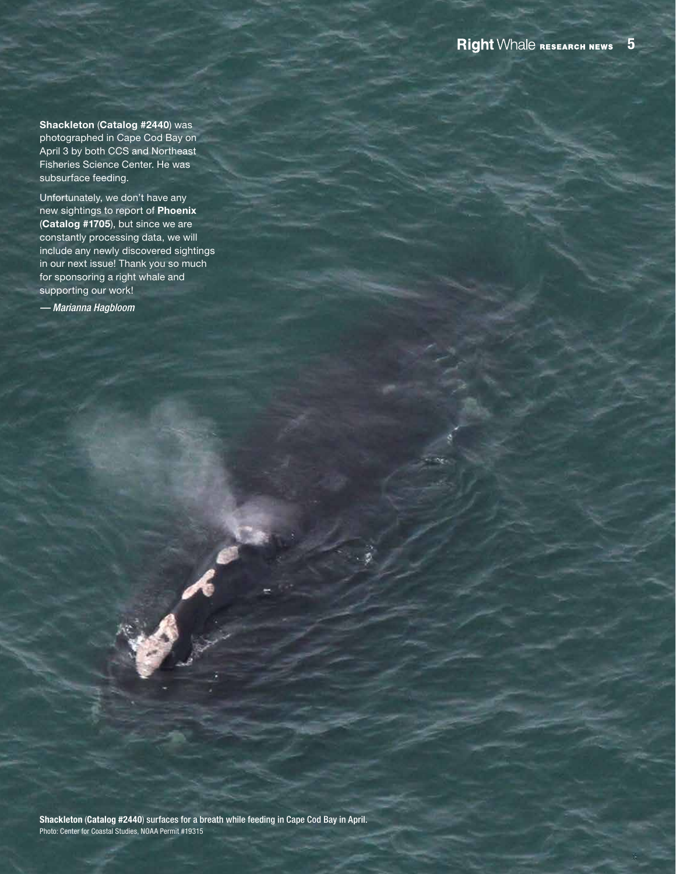Shackleton (Catalog #2440) was photographed in Cape Cod Bay on April 3 by both CCS and Northeast [Fisheries Science Center.](https://www.nefsc.noaa.gov) He was subsurface feeding.

Unfortunately, we don't have any new sightings to report of Phoenix (Catalog #1705), but since we are constantly processing data, we will include any newly discovered sightings in our next issue! Thank you so much for sponsoring a right whale and supporting our work!

*— Marianna Hagbloom*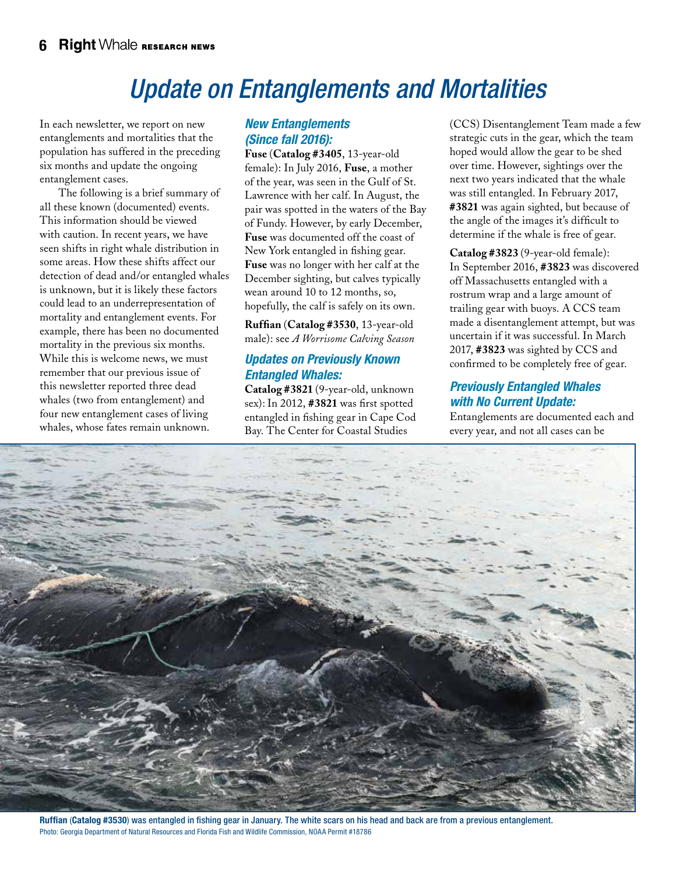# *Update on Entanglements and Mortalities*

In each newsletter, we report on new entanglements and mortalities that the population has suffered in the preceding six months and update the ongoing entanglement cases.

 The following is a brief summary of all these known (documented) events. This information should be viewed with caution. In recent years, we have seen shifts in right whale distribution in some areas. How these shifts affect our detection of dead and/or entangled whales is unknown, but it is likely these factors could lead to an underrepresentation of mortality and entanglement events. For example, there has been no documented mortality in the previous six months. While this is welcome news, we must remember that our previous issue of this newsletter reported three dead whales (two from entanglement) and four new entanglement cases of living whales, whose fates remain unknown.

### *New Entanglements (Since fall 2016):*

**Fuse** (**Catalog #3405**, 13-year-old female): In July 2016, **Fuse**, a mother of the year, was seen in the Gulf of St. Lawrence with her calf. In August, the pair was spotted in the waters of the Bay of Fundy. However, by early December, **Fuse** was documented off the coast of New York entangled in fishing gear. **Fuse** was no longer with her calf at the December sighting, but calves typically wean around 10 to 12 months, so, hopefully, the calf is safely on its own.

**Ruffian** (**Catalog #3530**, 13-year-old male): see *A Worrisome Calving Season*

### *Updates on Previously Known Entangled Whales:*

**Catalog #3821** (9-year-old, unknown sex): In 2012, **#3821** was first spotted entangled in fishing gear in Cape Cod Bay. T[he Center for Coastal Studies](http://coastalstudies.org/programs/) 

(CCS) Disentanglement Team made a few strategic cuts in the gear, which the team hoped would allow the gear to be shed over time. However, sightings over the next two years indicated that the whale was still entangled. In February 2017, **#3821** was again sighted, but because of the angle of the images it's difficult to determine if the whale is free of gear.

**Catalog #3823** (9-year-old female): In September 2016, **#3823** was discovered off Massachusetts entangled with a rostrum wrap and a large amount of trailing gear with buoys. A CCS team made a disentanglement attempt, but was uncertain if it was successful. In March 2017, **#3823** was sighted by CCS and confirmed to be completely free of gear.

### *Previously Entangled Whales with No Current Update:*

Entanglements are documented each and every year, and not all cases can be



Ruffian (Catalog #3530) was entangled in fishing gear in January. The white scars on his head and back are from a previous entanglement. Photo: Georgia Department of Natural Resources and Florida Fish and Wildlife Commission, NOAA Permit #18786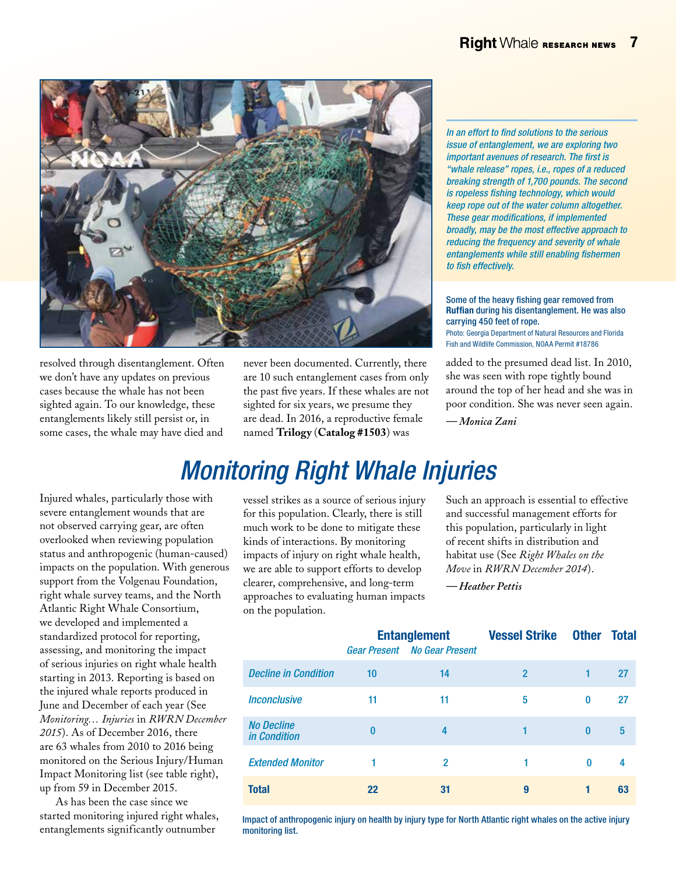

resolved through disentanglement. Often we don't have any updates on previous cases because the whale has not been sighted again. To our knowledge, these entanglements likely still persist or, in some cases, the whale may have died and never been documented. Currently, there are 10 such entanglement cases from only the past five years. If these whales are not sighted for six years, we presume they are dead. In 2016, a reproductive female named **Trilogy** (**Catalog #1503**) was

*In an effort to find solutions to the serious issue of entanglement, we are exploring two important avenues of research. The first is "whale release" ropes, i.e., ropes of a reduced breaking strength of 1,700 pounds. The second is ropeless fishing technology, which would keep rope out of the water column altogether. These gear modifications, if implemented broadly, may be the most effective approach to reducing the frequency and severity of whale entanglements while still enabling fishermen to fish effectively.* 

Some of the heavy fishing gear removed from Ruffian during his disentanglement. He was also carrying 450 feet of rope. Photo: Georgia Department of Natural Resources and Florida Fish and Wildlife Commission, NOAA Permit #18786

added to the presumed dead list. In 2010, she was seen with rope tightly bound around the top of her head and she was in poor condition. She was never seen again.

*— Monica Zani*

# *Monitoring Right Whale Injuries*

Injured whales, particularly those with severe entanglement wounds that are not observed carrying gear, are often overlooked when reviewing population status and anthropogenic (human-caused) impacts on the population. With generous support from the [Volgenau Foundation,](http://www.volgenaufoundation.org)  right whale survey teams, and the North [Atlantic Right Whale Consortium,](https://www.narwc.org)  we developed and implemented a standardized protocol for reporting, assessing, and monitoring the impact of serious injuries on right whale health starting in 2013. Reporting is based on the injured whale reports produced in June and December of each year (See *[Monitoring… Injuries](http://www.andersoncabotcenterforoceanlife.org/about-us/current-work/right-whale-research/right-whale-research-newsletters/)* in *RWRN December 2015*). As of December 2016, there are 63 whales from 2010 to 2016 being monitored on the Serious Injury/Human Impact Monitoring list (see table right), up from 59 in December 2015.

As has been the case since we started monitoring injured right whales, entanglements significantly outnumber

vessel strikes as a source of serious injury for this population. Clearly, there is still much work to be done to mitigate these kinds of interactions. By monitoring impacts of injury on right whale health, we are able to support efforts to develop clearer, comprehensive, and long-term approaches to evaluating human impacts on the population.

Such an approach is essential to effective and successful management efforts for this population, particularly in light of recent shifts in distribution and habitat use (See *[Right Whales on the](http://www.andersoncabotcenterforoceanlife.org/about-us/current-work/right-whale-research/right-whale-research-newsletters/)  Move* in *RWRN December 2014*).

*— Heather Pettis*

|                                          |          | <b>Entanglement</b><br><b>Gear Present No Gear Present</b> | <b>Vessel Strike</b> | <b>Other</b> | <b>Total</b> |
|------------------------------------------|----------|------------------------------------------------------------|----------------------|--------------|--------------|
| <b>Decline in Condition</b>              | 10       | 14                                                         | $\overline{2}$       |              | 27           |
| <b>Inconclusive</b>                      | 11       | 11                                                         | 5                    | $\mathbf{0}$ | 27           |
| <b>No Decline</b><br><i>in Condition</i> | $\bf{0}$ | 4                                                          | 1                    | $\mathbf{0}$ | 5            |
| <b>Extended Monitor</b>                  | 1        | $\overline{2}$                                             | 1                    | $\bf{0}$     | 4            |
| <b>Total</b>                             | 22       | 31                                                         | 9                    |              | 63           |

Impact of anthropogenic injury on health by injury type for North Atlantic right whales on the active injury monitoring list.